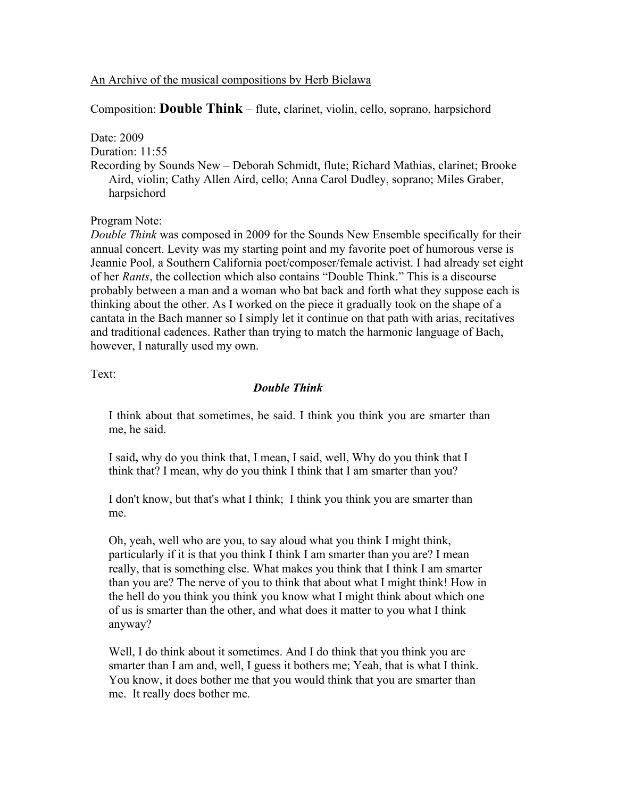## An Archive of the musical compositions by Herb Bielawa

Composition: **Double Think** – flute, clarinet, violin, cello, soprano, harpsichord

Date: 2009

Duration: 11:55

Recording by Sounds New – Deborah Schmidt, flute; Richard Mathias, clarinet; Brooke Aird, violin; Cathy Allen Aird, cello; Anna Carol Dudley, soprano; Miles Graber, harpsichord

Program Note:

*Double Think* was composed in 2009 for the Sounds New Ensemble specifically for their annual concert. Levity was my starting point and my favorite poet of humorous verse is Jeannie Pool, a Southern California poet/composer/female activist. I had already set eight of her *Rants*, the collection which also contains "Double Think." This is a discourse probably between a man and a woman who bat back and forth what they suppose each is thinking about the other. As I worked on the piece it gradually took on the shape of a cantata in the Bach manner so I simply let it continue on that path with arias, recitatives and traditional cadences. Rather than trying to match the harmonic language of Bach, however, I naturally used my own.

Text:

## *Double Think*

I think about that sometimes, he said. I think you think you are smarter than me, he said.

I said**,** why do you think that, I mean, I said, well, Why do you think that I think that? I mean, why do you think I think that I am smarter than you?

I don't know, but that's what I think; I think you think you are smarter than me.

Oh, yeah, well who are you, to say aloud what you think I might think, particularly if it is that you think I think I am smarter than you are? I mean really, that is something else. What makes you think that I think I am smarter than you are? The nerve of you to think that about what I might think! How in the hell do you think you think you know what I might think about which one of us is smarter than the other, and what does it matter to you what I think anyway?

Well, I do think about it sometimes. And I do think that you think you are smarter than I am and, well, I guess it bothers me; Yeah, that is what I think. You know, it does bother me that you would think that you are smarter than me. It really does bother me.